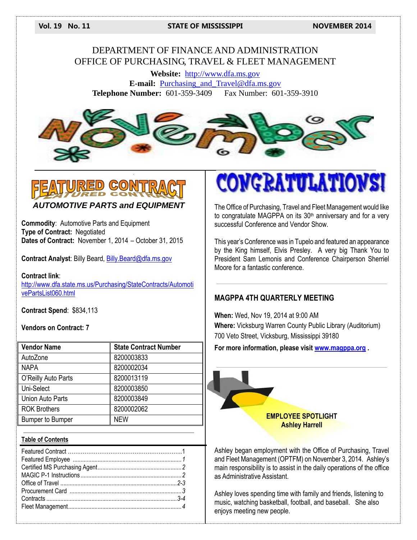#### **Vol. 19 No. 11 STATE OF MISSISSIPPI NOVEMBER 2014**

#### DEPARTMENT OF FINANCE AND ADMINISTRATION OFFICE OF PURCHASING, TRAVEL & FLEET MANAGEMENT

**Website:** [http://www.dfa.ms.gov](http://www.dfa.ms.gov/) **E-mail:** [Purchasing\\_and\\_Travel@dfa.ms.gov](mailto:Purchasing_and_Travel@dfa.ms.gov) **Telephone Number:** 601-359-3409 Fax Number: 601-359-3910





*AUTOMOTIVE PARTS and EQUIPMENT*

**Commodity**: Automotive Parts and Equipment **Type of Contract:** Negotiated **Dates of Contract:** November 1, 2014 – October 31, 2015

**Contract Analyst**: Billy Beard, [Billy.Beard@dfa.ms.gov](mailto:Billy.Beard@dfa.ms.gov)

**Contract link**: [http://www.dfa.state.ms.us/Purchasing/StateContracts/Automoti](http://www.dfa.state.ms.us/Purchasing/StateContracts/AutomotivePartsList060.html) [vePartsList060.html](http://www.dfa.state.ms.us/Purchasing/StateContracts/AutomotivePartsList060.html)

**Contract Spend**: \$834,113

**Vendors on Contract: 7**

| <b>Vendor Name</b>      | <b>State Contract Number</b> |
|-------------------------|------------------------------|
| AutoZone                | 8200003833                   |
| <b>NAPA</b>             | 8200002034                   |
| O'Reilly Auto Parts     | 8200013119                   |
| Uni-Select              | 8200003850                   |
| <b>Union Auto Parts</b> | 8200003849                   |
| <b>ROK Brothers</b>     | 8200002062                   |
| <b>Bumper to Bumper</b> | <b>NEW</b>                   |

#### **Table of Contents**

# **CONGRATUL**

The Office of Purchasing, Travel and Fleet Management would like to congratulate MAGPPA on its 30<sup>th</sup> anniversary and for a very successful Conference and Vendor Show.

This year's Conference was in Tupelo and featured an appearance by the King himself, Elvis Presley. A very big Thank You to President Sam Lemonis and Conference Chairperson Sherriel Moore for a fantastic conference.

#### **MAGPPA 4TH QUARTERLY MEETING**

**When:** Wed, Nov 19, 2014 at 9:00 AM **Where:** Vicksburg Warren County Public Library (Auditorium) 700 Veto Street, Vicksburg, Mississippi 39180

**For more information, please visit [www.magppa.org](http://www.magppa.org/) .**



Ashley began employment with the Office of Purchasing, Travel and Fleet Management (OPTFM) on November 3, 2014. Ashley's main responsibility is to assist in the daily operations of the office as Administrative Assistant.

Ashley loves spending time with family and friends, listening to music, watching basketball, football, and baseball. She also enjoys meeting new people.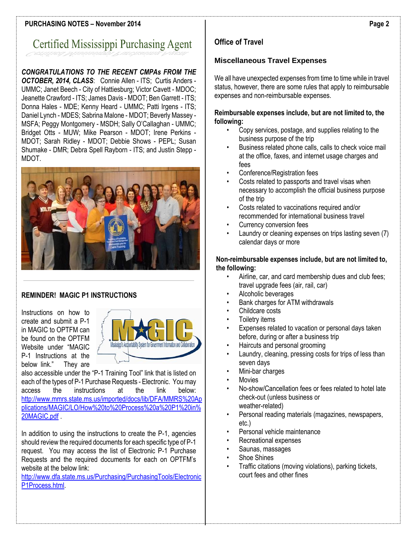#### **PURCHASING NOTES – November 2014**

## Certified Mississippi Purchasing Agent

#### *CONGRATULATIONS TO THE RECENT CMPAs FROM THE OCTOBER, 2014, CLASS*: Connie Allen - ITS; Curtis Anders - UMMC; Janet Beech - City of Hattiesburg; Victor Cavett - MDOC; Jeanette Crawford - ITS; James Davis - MDOT; Ben Garrett - ITS; Donna Hales - MDE; Kenny Heard - UMMC; Patti Irgens - ITS; Daniel Lynch - MDES; Sabrina Malone - MDOT; Beverly Massey - MSFA; Peggy Montgomery - MSDH; Sally O'Callaghan - UMMC; Bridget Otts - MUW; Mike Pearson - MDOT; Irene Perkins - MDOT; Sarah Ridley - MDOT; Debbie Shows - PEPL; Susan Shumake - DMR; Debra Spell Rayborn - ITS; and Justin Stepp - MDOT.



#### **REMINDER! MAGIC P1 INSTRUCTIONS**

Instructions on how to create and submit a P-1 in MAGIC to OPTFM can be found on the OPTFM Website under "MAGIC P-1 Instructions at the below link." They are



also accessible under the "P-1 Training Tool" link that is listed on each of the types of P-1 Purchase Requests - Electronic. You may<br>access the instructions at the link below: access the instructions at the link below: [http://www.mmrs.state.ms.us/imported/docs/lib/DFA/MMRS%20Ap](http://www.mmrs.state.ms.us/imported/docs/lib/DFA/MMRS%20Applications/MAGIC/LO/How%20to%20Process%20a%20P1%20in%20MAGIC.pdf) [plications/MAGIC/LO/How%20to%20Process%20a%20P1%20in%](http://www.mmrs.state.ms.us/imported/docs/lib/DFA/MMRS%20Applications/MAGIC/LO/How%20to%20Process%20a%20P1%20in%20MAGIC.pdf) [20MAGIC.pdf](http://www.mmrs.state.ms.us/imported/docs/lib/DFA/MMRS%20Applications/MAGIC/LO/How%20to%20Process%20a%20P1%20in%20MAGIC.pdf) .

In addition to using the instructions to create the P-1, agencies should review the required documents for each specific type of P-1 request. You may access the list of Electronic P-1 Purchase Requests and the required documents for each on OPTFM's website at the below link:

[http://www.dfa.state.ms.us/Purchasing/PurchasingTools/Electronic](http://www.dfa.state.ms.us/Purchasing/PurchasingTools/ElectronicP1Process.html) [P1Process.html.](http://www.dfa.state.ms.us/Purchasing/PurchasingTools/ElectronicP1Process.html) 

### **Office of Travel**

#### **Miscellaneous Travel Expenses**

We all have unexpected expenses from time to time while in travel status, however, there are some rules that apply to reimbursable expenses and non-reimbursable expenses.

#### **Reimbursable expenses include, but are not limited to, the following:**

- Copy services, postage, and supplies relating to the business purpose of the trip
- Business related phone calls, calls to check voice mail at the office, faxes, and internet usage charges and fees
- Conference/Registration fees
- Costs related to passports and travel visas when necessary to accomplish the official business purpose of the trip
- Costs related to vaccinations required and/or recommended for international business travel
- Currency conversion fees
- Laundry or cleaning expenses on trips lasting seven (7) calendar days or more

#### **Non-reimbursable expenses include, but are not limited to, the following:**

- Airline, car, and card membership dues and club fees; travel upgrade fees (air, rail, car)
- Alcoholic beverages
- Bank charges for ATM withdrawals
- Childcare costs
- Toiletry items
- Expenses related to vacation or personal days taken before, during or after a business trip
- Haircuts and personal grooming
- Laundry, cleaning, pressing costs for trips of less than seven days
- Mini-bar charges
- **Movies**
- No-show/Cancellation fees or fees related to hotel late check-out (unless business or weather-related)
- Personal reading materials (magazines, newspapers, etc.)
- Personal vehicle maintenance
- Recreational expenses
- Saunas, massages
- Shoe Shines
- Traffic citations (moving violations), parking tickets, court fees and other fines